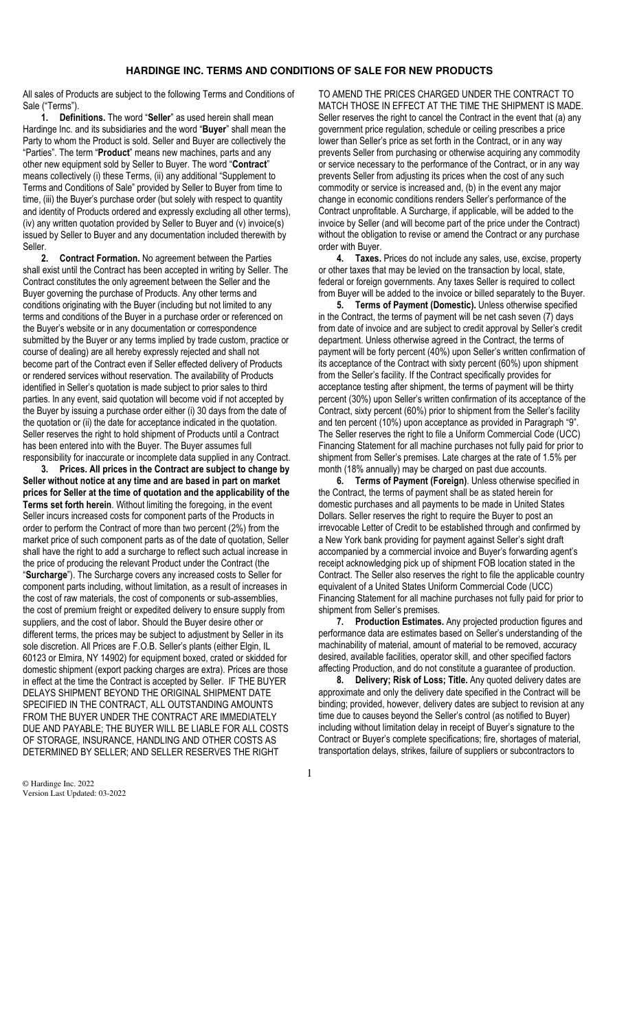## **HARDINGE INC. TERMS AND CONDITIONS OF SALE FOR NEW PRODUCTS**

All sales of Products are subject to the following Terms and Conditions of Sale ("Terms").

**1. Definitions.** The word "**Seller**" as used herein shall mean Hardinge Inc. and its subsidiaries and the word "**Buyer**" shall mean the Party to whom the Product is sold. Seller and Buyer are collectively the "Parties". The term "**Product**" means new machines, parts and any other new equipment sold by Seller to Buyer. The word "**Contract**" means collectively (i) these Terms, (ii) any additional "Supplement to Terms and Conditions of Sale" provided by Seller to Buyer from time to time, (iii) the Buyer's purchase order (but solely with respect to quantity and identity of Products ordered and expressly excluding all other terms), (iv) any written quotation provided by Seller to Buyer and (v) invoice(s) issued by Seller to Buyer and any documentation included therewith by Seller.<br>2.

**2. Contract Formation.** No agreement between the Parties shall exist until the Contract has been accepted in writing by Seller. The Contract constitutes the only agreement between the Seller and the Buyer governing the purchase of Products. Any other terms and conditions originating with the Buyer (including but not limited to any terms and conditions of the Buyer in a purchase order or referenced on the Buyer's website or in any documentation or correspondence submitted by the Buyer or any terms implied by trade custom, practice or course of dealing) are all hereby expressly rejected and shall not become part of the Contract even if Seller effected delivery of Products or rendered services without reservation. The availability of Products identified in Seller's quotation is made subject to prior sales to third parties. In any event, said quotation will become void if not accepted by the Buyer by issuing a purchase order either (i) 30 days from the date of the quotation or (ii) the date for acceptance indicated in the quotation. Seller reserves the right to hold shipment of Products until a Contract has been entered into with the Buyer. The Buyer assumes full responsibility for inaccurate or incomplete data supplied in any Contract.

**3. Prices. All prices in the Contract are subject to change by Seller without notice at any time and are based in part on market prices for Seller at the time of quotation and the applicability of the Terms set forth herein**. Without limiting the foregoing, in the event Seller incurs increased costs for component parts of the Products in order to perform the Contract of more than two percent (2%) from the market price of such component parts as of the date of quotation, Seller shall have the right to add a surcharge to reflect such actual increase in the price of producing the relevant Product under the Contract (the "**Surcharge**"). The Surcharge covers any increased costs to Seller for component parts including, without limitation, as a result of increases in the cost of raw materials, the cost of components or sub-assemblies, the cost of premium freight or expedited delivery to ensure supply from suppliers, and the cost of labor. Should the Buyer desire other or different terms, the prices may be subject to adjustment by Seller in its sole discretion. All Prices are F.O.B. Seller's plants (either Elgin, IL 60123 or Elmira, NY 14902) for equipment boxed, crated or skidded for domestic shipment (export packing charges are extra). Prices are those in effect at the time the Contract is accepted by Seller. IF THE BUYER DELAYS SHIPMENT BEYOND THE ORIGINAL SHIPMENT DATE SPECIFIED IN THE CONTRACT, ALL OUTSTANDING AMOUNTS FROM THE BUYER UNDER THE CONTRACT ARE IMMEDIATELY DUE AND PAYABLE; THE BUYER WILL BE LIABLE FOR ALL COSTS OF STORAGE, INSURANCE, HANDLING AND OTHER COSTS AS DETERMINED BY SELLER; AND SELLER RESERVES THE RIGHT

TO AMEND THE PRICES CHARGED UNDER THE CONTRACT TO MATCH THOSE IN EFFECT AT THE TIME THE SHIPMENT IS MADE. Seller reserves the right to cancel the Contract in the event that (a) any government price regulation, schedule or ceiling prescribes a price lower than Seller's price as set forth in the Contract, or in any way prevents Seller from purchasing or otherwise acquiring any commodity or service necessary to the performance of the Contract, or in any way prevents Seller from adjusting its prices when the cost of any such commodity or service is increased and, (b) in the event any major change in economic conditions renders Seller's performance of the Contract unprofitable. A Surcharge, if applicable, will be added to the invoice by Seller (and will become part of the price under the Contract) without the obligation to revise or amend the Contract or any purchase order with Buyer.

**4. Taxes.** Prices do not include any sales, use, excise, property or other taxes that may be levied on the transaction by local, state, federal or foreign governments. Any taxes Seller is required to collect from Buyer will be added to the invoice or billed separately to the Buyer.

**5. Terms of Payment (Domestic).** Unless otherwise specified in the Contract, the terms of payment will be net cash seven (7) days from date of invoice and are subject to credit approval by Seller's credit department. Unless otherwise agreed in the Contract, the terms of payment will be forty percent (40%) upon Seller's written confirmation of its acceptance of the Contract with sixty percent (60%) upon shipment from the Seller's facility. If the Contract specifically provides for acceptance testing after shipment, the terms of payment will be thirty percent (30%) upon Seller's written confirmation of its acceptance of the Contract, sixty percent (60%) prior to shipment from the Seller's facility and ten percent (10%) upon acceptance as provided in Paragraph "9". The Seller reserves the right to file a Uniform Commercial Code (UCC) Financing Statement for all machine purchases not fully paid for prior to shipment from Seller's premises. Late charges at the rate of 1.5% per month (18% annually) may be charged on past due accounts.

**6. Terms of Payment (Foreign)**. Unless otherwise specified in the Contract, the terms of payment shall be as stated herein for domestic purchases and all payments to be made in United States Dollars. Seller reserves the right to require the Buyer to post an irrevocable Letter of Credit to be established through and confirmed by a New York bank providing for payment against Seller's sight draft accompanied by a commercial invoice and Buyer's forwarding agent's receipt acknowledging pick up of shipment FOB location stated in the Contract. The Seller also reserves the right to file the applicable country equivalent of a United States Uniform Commercial Code (UCC) Financing Statement for all machine purchases not fully paid for prior to shipment from Seller's premises.

**7. Production Estimates.** Any projected production figures and performance data are estimates based on Seller's understanding of the machinability of material, amount of material to be removed, accuracy desired, available facilities, operator skill, and other specified factors affecting Production, and do not constitute a guarantee of production.

**8. Delivery; Risk of Loss; Title.** Any quoted delivery dates are approximate and only the delivery date specified in the Contract will be binding; provided, however, delivery dates are subject to revision at any time due to causes beyond the Seller's control (as notified to Buyer) including without limitation delay in receipt of Buyer's signature to the Contract or Buyer's complete specifications; fire, shortages of material, transportation delays, strikes, failure of suppliers or subcontractors to

© Hardinge Inc. 2022 Version Last Updated: 03-2022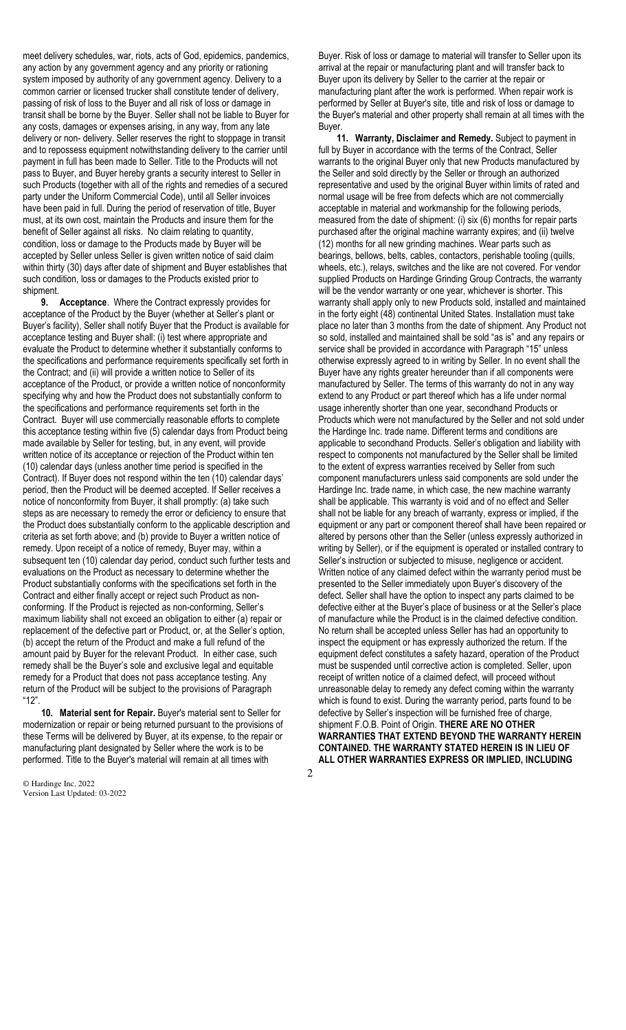meet delivery schedules, war, riots, acts of God, epidemics, pandemics, any action by any government agency and any priority or rationing system imposed by authority of any government agency. Delivery to a common carrier or licensed trucker shall constitute tender of delivery, passing of risk of loss to the Buyer and all risk of loss or damage in transit shall be borne by the Buyer. Seller shall not be liable to Buyer for any costs, damages or expenses arising, in any way, from any late delivery or non- delivery. Seller reserves the right to stoppage in transit and to repossess equipment notwithstanding delivery to the carrier until payment in full has been made to Seller. Title to the Products will not pass to Buyer, and Buyer hereby grants a security interest to Seller in such Products (together with all of the rights and remedies of a secured party under the Uniform Commercial Code), until all Seller invoices have been paid in full. During the period of reservation of title, Buyer must, at its own cost, maintain the Products and insure them for the benefit of Seller against all risks. No claim relating to quantity, condition, loss or damage to the Products made by Buyer will be accepted by Seller unless Seller is given written notice of said claim within thirty (30) days after date of shipment and Buyer establishes that such condition, loss or damages to the Products existed prior to shipment.

**9. Acceptance**. Where the Contract expressly provides for acceptance of the Product by the Buyer (whether at Seller's plant or Buyer's facility), Seller shall notify Buyer that the Product is available for acceptance testing and Buyer shall: (i) test where appropriate and evaluate the Product to determine whether it substantially conforms to the specifications and performance requirements specifically set forth in the Contract; and (ii) will provide a written notice to Seller of its acceptance of the Product, or provide a written notice of nonconformity specifying why and how the Product does not substantially conform to the specifications and performance requirements set forth in the Contract. Buyer will use commercially reasonable efforts to complete this acceptance testing within five (5) calendar days from Product being made available by Seller for testing, but, in any event, will provide written notice of its acceptance or rejection of the Product within ten (10) calendar days (unless another time period is specified in the Contract). If Buyer does not respond within the ten (10) calendar days' period, then the Product will be deemed accepted. If Seller receives a notice of nonconformity from Buyer, it shall promptly: (a) take such steps as are necessary to remedy the error or deficiency to ensure that the Product does substantially conform to the applicable description and criteria as set forth above; and (b) provide to Buyer a written notice of remedy. Upon receipt of a notice of remedy, Buyer may, within a subsequent ten (10) calendar day period, conduct such further tests and evaluations on the Product as necessary to determine whether the Product substantially conforms with the specifications set forth in the Contract and either finally accept or reject such Product as nonconforming. If the Product is rejected as non-conforming, Seller's maximum liability shall not exceed an obligation to either (a) repair or replacement of the defective part or Product, or, at the Seller's option, (b) accept the return of the Product and make a full refund of the amount paid by Buyer for the relevant Product. In either case, such remedy shall be the Buyer's sole and exclusive legal and equitable remedy for a Product that does not pass acceptance testing. Any return of the Product will be subject to the provisions of Paragraph "12".

**10. Material sent for Repair.** Buyer's material sent to Seller for modernization or repair or being returned pursuant to the provisions of these Terms will be delivered by Buyer, at its expense, to the repair or manufacturing plant designated by Seller where the work is to be performed. Title to the Buyer's material will remain at all times with

© Hardinge Inc. 2022 Version Last Updated: 03-2022 Buyer. Risk of loss or damage to material will transfer to Seller upon its arrival at the repair or manufacturing plant and will transfer back to Buyer upon its delivery by Seller to the carrier at the repair or manufacturing plant after the work is performed. When repair work is performed by Seller at Buyer's site, title and risk of loss or damage to the Buyer's material and other property shall remain at all times with the Buyer.

**11. Warranty, Disclaimer and Remedy.** Subject to payment in full by Buyer in accordance with the terms of the Contract, Seller warrants to the original Buyer only that new Products manufactured by the Seller and sold directly by the Seller or through an authorized representative and used by the original Buyer within limits of rated and normal usage will be free from defects which are not commercially acceptable in material and workmanship for the following periods, measured from the date of shipment: (i) six (6) months for repair parts purchased after the original machine warranty expires; and (ii) twelve (12) months for all new grinding machines. Wear parts such as bearings, bellows, belts, cables, contactors, perishable tooling (quills, wheels, etc.), relays, switches and the like are not covered. For vendor supplied Products on Hardinge Grinding Group Contracts, the warranty will be the vendor warranty or one year, whichever is shorter. This warranty shall apply only to new Products sold, installed and maintained in the forty eight (48) continental United States. Installation must take place no later than 3 months from the date of shipment. Any Product not so sold, installed and maintained shall be sold "as is" and any repairs or service shall be provided in accordance with Paragraph "15" unless otherwise expressly agreed to in writing by Seller. In no event shall the Buyer have any rights greater hereunder than if all components were manufactured by Seller. The terms of this warranty do not in any way extend to any Product or part thereof which has a life under normal usage inherently shorter than one year, secondhand Products or Products which were not manufactured by the Seller and not sold under the Hardinge Inc. trade name. Different terms and conditions are applicable to secondhand Products. Seller's obligation and liability with respect to components not manufactured by the Seller shall be limited to the extent of express warranties received by Seller from such component manufacturers unless said components are sold under the Hardinge Inc. trade name, in which case, the new machine warranty shall be applicable. This warranty is void and of no effect and Seller shall not be liable for any breach of warranty, express or implied, if the equipment or any part or component thereof shall have been repaired or altered by persons other than the Seller (unless expressly authorized in writing by Seller), or if the equipment is operated or installed contrary to Seller's instruction or subjected to misuse, negligence or accident. Written notice of any claimed defect within the warranty period must be presented to the Seller immediately upon Buyer's discovery of the defect. Seller shall have the option to inspect any parts claimed to be defective either at the Buyer's place of business or at the Seller's place of manufacture while the Product is in the claimed defective condition. No return shall be accepted unless Seller has had an opportunity to inspect the equipment or has expressly authorized the return. If the equipment defect constitutes a safety hazard, operation of the Product must be suspended until corrective action is completed. Seller, upon receipt of written notice of a claimed defect, will proceed without unreasonable delay to remedy any defect coming within the warranty which is found to exist. During the warranty period, parts found to be defective by Seller's inspection will be furnished free of charge, shipment F.O.B. Point of Origin. **THERE ARE NO OTHER WARRANTIES THAT EXTEND BEYOND THE WARRANTY HEREIN CONTAINED. THE WARRANTY STATED HEREIN IS IN LIEU OF ALL OTHER WARRANTIES EXPRESS OR IMPLIED, INCLUDING**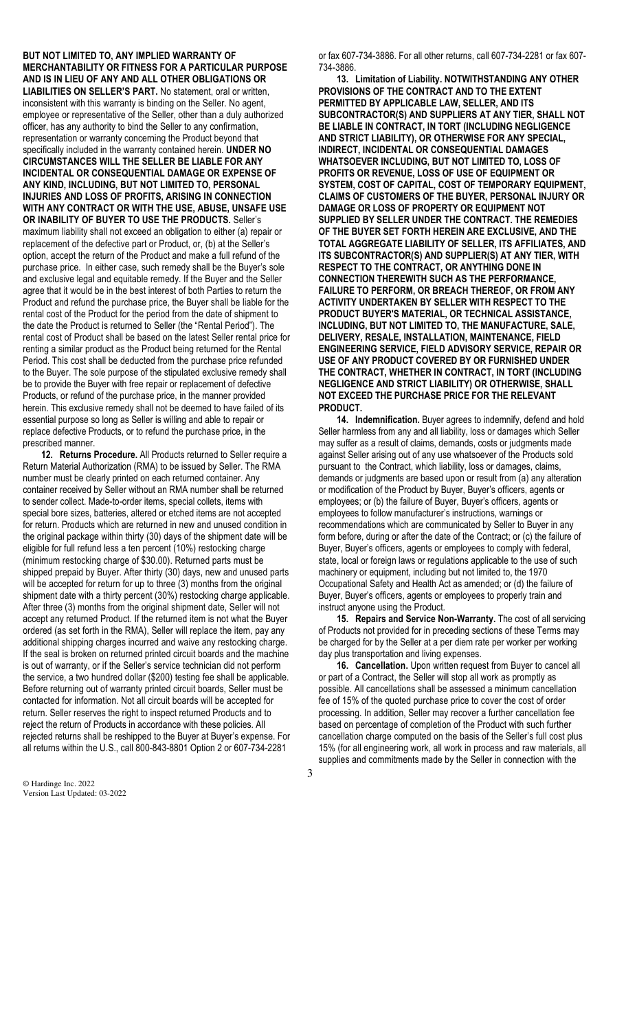**BUT NOT LIMITED TO, ANY IMPLIED WARRANTY OF MERCHANTABILITY OR FITNESS FOR A PARTICULAR PURPOSE AND IS IN LIEU OF ANY AND ALL OTHER OBLIGATIONS OR LIABILITIES ON SELLER'S PART.** No statement, oral or written, inconsistent with this warranty is binding on the Seller. No agent, employee or representative of the Seller, other than a duly authorized officer, has any authority to bind the Seller to any confirmation, representation or warranty concerning the Product beyond that specifically included in the warranty contained herein. **UNDER NO CIRCUMSTANCES WILL THE SELLER BE LIABLE FOR ANY INCIDENTAL OR CONSEQUENTIAL DAMAGE OR EXPENSE OF ANY KIND, INCLUDING, BUT NOT LIMITED TO, PERSONAL INJURIES AND LOSS OF PROFITS, ARISING IN CONNECTION WITH ANY CONTRACT OR WITH THE USE, ABUSE, UNSAFE USE OR INABILITY OF BUYER TO USE THE PRODUCTS.** Seller's maximum liability shall not exceed an obligation to either (a) repair or replacement of the defective part or Product, or, (b) at the Seller's option, accept the return of the Product and make a full refund of the purchase price. In either case, such remedy shall be the Buyer's sole and exclusive legal and equitable remedy. If the Buyer and the Seller agree that it would be in the best interest of both Parties to return the Product and refund the purchase price, the Buyer shall be liable for the rental cost of the Product for the period from the date of shipment to the date the Product is returned to Seller (the "Rental Period"). The rental cost of Product shall be based on the latest Seller rental price for renting a similar product as the Product being returned for the Rental Period. This cost shall be deducted from the purchase price refunded to the Buyer. The sole purpose of the stipulated exclusive remedy shall be to provide the Buyer with free repair or replacement of defective Products, or refund of the purchase price, in the manner provided herein. This exclusive remedy shall not be deemed to have failed of its essential purpose so long as Seller is willing and able to repair or replace defective Products, or to refund the purchase price, in the prescribed manner.

**12. Returns Procedure.** All Products returned to Seller require a Return Material Authorization (RMA) to be issued by Seller. The RMA number must be clearly printed on each returned container. Any container received by Seller without an RMA number shall be returned to sender collect. Made-to-order items, special collets, items with special bore sizes, batteries, altered or etched items are not accepted for return. Products which are returned in new and unused condition in the original package within thirty (30) days of the shipment date will be eligible for full refund less a ten percent (10%) restocking charge (minimum restocking charge of \$30.00). Returned parts must be shipped prepaid by Buyer. After thirty (30) days, new and unused parts will be accepted for return for up to three (3) months from the original shipment date with a thirty percent (30%) restocking charge applicable. After three (3) months from the original shipment date, Seller will not accept any returned Product. If the returned item is not what the Buyer ordered (as set forth in the RMA), Seller will replace the item, pay any additional shipping charges incurred and waive any restocking charge. If the seal is broken on returned printed circuit boards and the machine is out of warranty, or if the Seller's service technician did not perform the service, a two hundred dollar (\$200) testing fee shall be applicable. Before returning out of warranty printed circuit boards, Seller must be contacted for information. Not all circuit boards will be accepted for return. Seller reserves the right to inspect returned Products and to reject the return of Products in accordance with these policies. All rejected returns shall be reshipped to the Buyer at Buyer's expense. For all returns within the U.S., call 800-843-8801 Option 2 or 607-734-2281

© Hardinge Inc. 2022 Version Last Updated: 03-2022 or fax 607-734-3886. For all other returns, call 607-734-2281 or fax 607- 734-3886.

**13. Limitation of Liability. NOTWITHSTANDING ANY OTHER PROVISIONS OF THE CONTRACT AND TO THE EXTENT PERMITTED BY APPLICABLE LAW, SELLER, AND ITS SUBCONTRACTOR(S) AND SUPPLIERS AT ANY TIER, SHALL NOT BE LIABLE IN CONTRACT, IN TORT (INCLUDING NEGLIGENCE AND STRICT LIABILITY), OR OTHERWISE FOR ANY SPECIAL, INDIRECT, INCIDENTAL OR CONSEQUENTIAL DAMAGES WHATSOEVER INCLUDING, BUT NOT LIMITED TO, LOSS OF PROFITS OR REVENUE, LOSS OF USE OF EQUIPMENT OR SYSTEM, COST OF CAPITAL, COST OF TEMPORARY EQUIPMENT, CLAIMS OF CUSTOMERS OF THE BUYER, PERSONAL INJURY OR DAMAGE OR LOSS OF PROPERTY OR EQUIPMENT NOT SUPPLIED BY SELLER UNDER THE CONTRACT. THE REMEDIES OF THE BUYER SET FORTH HEREIN ARE EXCLUSIVE, AND THE TOTAL AGGREGATE LIABILITY OF SELLER, ITS AFFILIATES, AND ITS SUBCONTRACTOR(S) AND SUPPLIER(S) AT ANY TIER, WITH RESPECT TO THE CONTRACT, OR ANYTHING DONE IN CONNECTION THEREWITH SUCH AS THE PERFORMANCE, FAILURE TO PERFORM, OR BREACH THEREOF, OR FROM ANY ACTIVITY UNDERTAKEN BY SELLER WITH RESPECT TO THE PRODUCT BUYER'S MATERIAL, OR TECHNICAL ASSISTANCE, INCLUDING, BUT NOT LIMITED TO, THE MANUFACTURE, SALE, DELIVERY, RESALE, INSTALLATION, MAINTENANCE, FIELD ENGINEERING SERVICE, FIELD ADVISORY SERVICE, REPAIR OR USE OF ANY PRODUCT COVERED BY OR FURNISHED UNDER THE CONTRACT, WHETHER IN CONTRACT, IN TORT (INCLUDING NEGLIGENCE AND STRICT LIABILITY) OR OTHERWISE, SHALL NOT EXCEED THE PURCHASE PRICE FOR THE RELEVANT PRODUCT.** 

**14. Indemnification.** Buyer agrees to indemnify, defend and hold Seller harmless from any and all liability, loss or damages which Seller may suffer as a result of claims, demands, costs or judgments made against Seller arising out of any use whatsoever of the Products sold pursuant to the Contract, which liability, loss or damages, claims, demands or judgments are based upon or result from (a) any alteration or modification of the Product by Buyer, Buyer's officers, agents or employees; or (b) the failure of Buyer, Buyer's officers, agents or employees to follow manufacturer's instructions, warnings or recommendations which are communicated by Seller to Buyer in any form before, during or after the date of the Contract; or (c) the failure of Buyer, Buyer's officers, agents or employees to comply with federal, state, local or foreign laws or regulations applicable to the use of such machinery or equipment, including but not limited to, the 1970 Occupational Safety and Health Act as amended; or (d) the failure of Buyer, Buyer's officers, agents or employees to properly train and instruct anyone using the Product.

**15. Repairs and Service Non-Warranty.** The cost of all servicing of Products not provided for in preceding sections of these Terms may be charged for by the Seller at a per diem rate per worker per working day plus transportation and living expenses.

**16. Cancellation.** Upon written request from Buyer to cancel all or part of a Contract, the Seller will stop all work as promptly as possible. All cancellations shall be assessed a minimum cancellation fee of 15% of the quoted purchase price to cover the cost of order processing. In addition, Seller may recover a further cancellation fee based on percentage of completion of the Product with such further cancellation charge computed on the basis of the Seller's full cost plus 15% (for all engineering work, all work in process and raw materials, all supplies and commitments made by the Seller in connection with the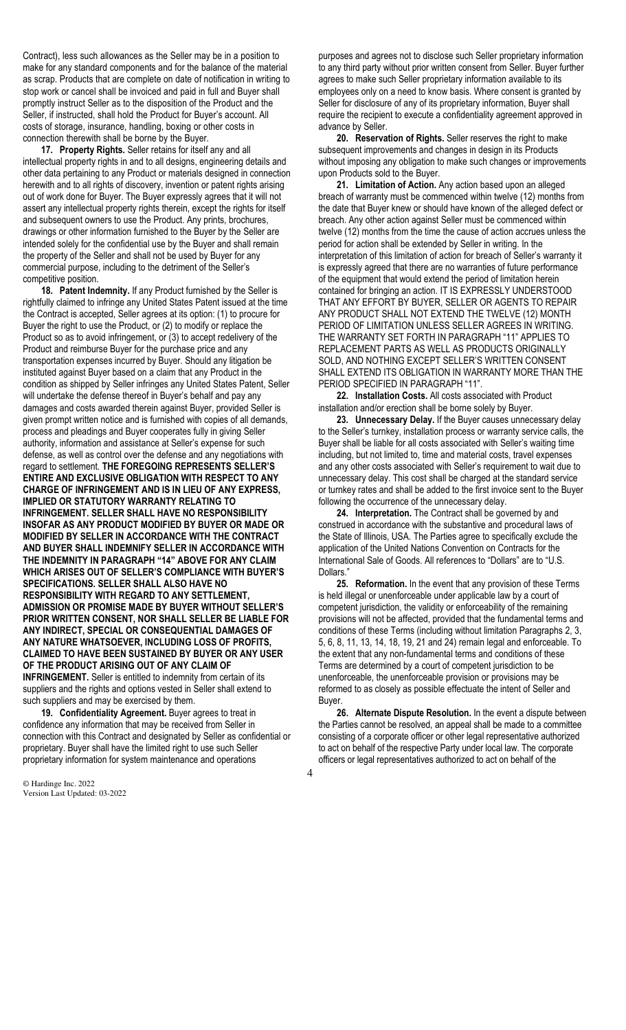Contract), less such allowances as the Seller may be in a position to make for any standard components and for the balance of the material as scrap. Products that are complete on date of notification in writing to stop work or cancel shall be invoiced and paid in full and Buyer shall promptly instruct Seller as to the disposition of the Product and the Seller, if instructed, shall hold the Product for Buyer's account. All costs of storage, insurance, handling, boxing or other costs in connection therewith shall be borne by the Buyer.

**17. Property Rights.** Seller retains for itself any and all intellectual property rights in and to all designs, engineering details and other data pertaining to any Product or materials designed in connection herewith and to all rights of discovery, invention or patent rights arising out of work done for Buyer. The Buyer expressly agrees that it will not assert any intellectual property rights therein, except the rights for itself and subsequent owners to use the Product. Any prints, brochures, drawings or other information furnished to the Buyer by the Seller are intended solely for the confidential use by the Buyer and shall remain the property of the Seller and shall not be used by Buyer for any commercial purpose, including to the detriment of the Seller's competitive position.

**18. Patent Indemnity.** If any Product furnished by the Seller is rightfully claimed to infringe any United States Patent issued at the time the Contract is accepted, Seller agrees at its option: (1) to procure for Buyer the right to use the Product, or (2) to modify or replace the Product so as to avoid infringement, or (3) to accept redelivery of the Product and reimburse Buyer for the purchase price and any transportation expenses incurred by Buyer. Should any litigation be instituted against Buyer based on a claim that any Product in the condition as shipped by Seller infringes any United States Patent, Seller will undertake the defense thereof in Buyer's behalf and pay any damages and costs awarded therein against Buyer, provided Seller is given prompt written notice and is furnished with copies of all demands, process and pleadings and Buyer cooperates fully in giving Seller authority, information and assistance at Seller's expense for such defense, as well as control over the defense and any negotiations with regard to settlement. **THE FOREGOING REPRESENTS SELLER'S ENTIRE AND EXCLUSIVE OBLIGATION WITH RESPECT TO ANY CHARGE OF INFRINGEMENT AND IS IN LIEU OF ANY EXPRESS, IMPLIED OR STATUTORY WARRANTY RELATING TO INFRINGEMENT. SELLER SHALL HAVE NO RESPONSIBILITY INSOFAR AS ANY PRODUCT MODIFIED BY BUYER OR MADE OR MODIFIED BY SELLER IN ACCORDANCE WITH THE CONTRACT AND BUYER SHALL INDEMNIFY SELLER IN ACCORDANCE WITH THE INDEMNITY IN PARAGRAPH "14" ABOVE FOR ANY CLAIM WHICH ARISES OUT OF SELLER'S COMPLIANCE WITH BUYER'S SPECIFICATIONS. SELLER SHALL ALSO HAVE NO RESPONSIBILITY WITH REGARD TO ANY SETTLEMENT, ADMISSION OR PROMISE MADE BY BUYER WITHOUT SELLER'S PRIOR WRITTEN CONSENT, NOR SHALL SELLER BE LIABLE FOR ANY INDIRECT, SPECIAL OR CONSEQUENTIAL DAMAGES OF ANY NATURE WHATSOEVER, INCLUDING LOSS OF PROFITS, CLAIMED TO HAVE BEEN SUSTAINED BY BUYER OR ANY USER OF THE PRODUCT ARISING OUT OF ANY CLAIM OF INFRINGEMENT.** Seller is entitled to indemnity from certain of its

suppliers and the rights and options vested in Seller shall extend to such suppliers and may be exercised by them.

**19. Confidentiality Agreement.** Buyer agrees to treat in confidence any information that may be received from Seller in connection with this Contract and designated by Seller as confidential or proprietary. Buyer shall have the limited right to use such Seller proprietary information for system maintenance and operations

© Hardinge Inc. 2022 Version Last Updated: 03-2022

purposes and agrees not to disclose such Seller proprietary information to any third party without prior written consent from Seller. Buyer further agrees to make such Seller proprietary information available to its employees only on a need to know basis. Where consent is granted by Seller for disclosure of any of its proprietary information, Buyer shall require the recipient to execute a confidentiality agreement approved in advance by Seller.

**20. Reservation of Rights.** Seller reserves the right to make subsequent improvements and changes in design in its Products without imposing any obligation to make such changes or improvements upon Products sold to the Buyer.

**21. Limitation of Action.** Any action based upon an alleged breach of warranty must be commenced within twelve (12) months from the date that Buyer knew or should have known of the alleged defect or breach. Any other action against Seller must be commenced within twelve (12) months from the time the cause of action accrues unless the period for action shall be extended by Seller in writing. In the interpretation of this limitation of action for breach of Seller's warranty it is expressly agreed that there are no warranties of future performance of the equipment that would extend the period of limitation herein contained for bringing an action. IT IS EXPRESSLY UNDERSTOOD THAT ANY EFFORT BY BUYER, SELLER OR AGENTS TO REPAIR ANY PRODUCT SHALL NOT EXTEND THE TWELVE (12) MONTH PERIOD OF LIMITATION UNLESS SELLER AGREES IN WRITING. THE WARRANTY SET FORTH IN PARAGRAPH "11" APPLIES TO REPLACEMENT PARTS AS WELL AS PRODUCTS ORIGINALLY SOLD, AND NOTHING EXCEPT SELLER'S WRITTEN CONSENT SHALL EXTEND ITS OBLIGATION IN WARRANTY MORE THAN THE PERIOD SPECIFIED IN PARAGRAPH "11".

**22. Installation Costs.** All costs associated with Product installation and/or erection shall be borne solely by Buyer.

**23. Unnecessary Delay.** If the Buyer causes unnecessary delay to the Seller's turnkey, installation process or warranty service calls, the Buyer shall be liable for all costs associated with Seller's waiting time including, but not limited to, time and material costs, travel expenses and any other costs associated with Seller's requirement to wait due to unnecessary delay. This cost shall be charged at the standard service or turnkey rates and shall be added to the first invoice sent to the Buyer following the occurrence of the unnecessary delay.

**24. Interpretation.** The Contract shall be governed by and construed in accordance with the substantive and procedural laws of the State of Illinois, USA. The Parties agree to specifically exclude the application of the United Nations Convention on Contracts for the International Sale of Goods. All references to "Dollars" are to "U.S. Dollars.'

**25. Reformation.** In the event that any provision of these Terms is held illegal or unenforceable under applicable law by a court of competent jurisdiction, the validity or enforceability of the remaining provisions will not be affected, provided that the fundamental terms and conditions of these Terms (including without limitation Paragraphs 2, 3, 5, 6, 8, 11, 13, 14, 18, 19, 21 and 24) remain legal and enforceable. To the extent that any non-fundamental terms and conditions of these Terms are determined by a court of competent jurisdiction to be unenforceable, the unenforceable provision or provisions may be reformed to as closely as possible effectuate the intent of Seller and Buyer.

**26. Alternate Dispute Resolution.** In the event a dispute between the Parties cannot be resolved, an appeal shall be made to a committee consisting of a corporate officer or other legal representative authorized to act on behalf of the respective Party under local law. The corporate officers or legal representatives authorized to act on behalf of the